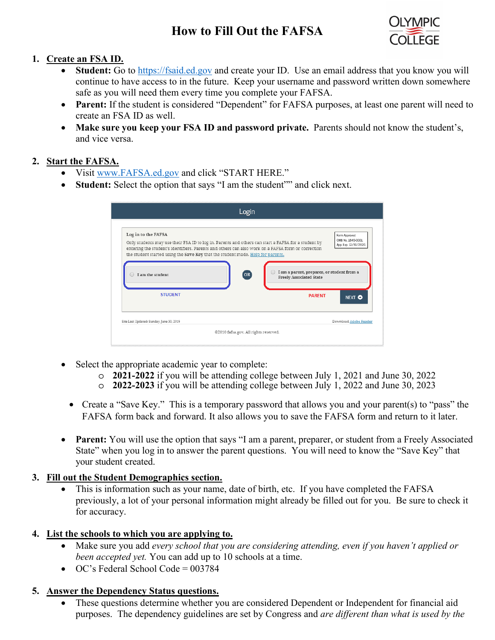# **How to Fill Out the FAFSA**



#### **1. Create an FSA ID.**

- **Student:** Go to [https://fsaid.ed.gov](https://fsaid.ed.gov/) and create your ID. Use an email address that you know you will continue to have access to in the future. Keep your username and password written down somewhere safe as you will need them every time you complete your FAFSA.
- **Parent:** If the student is considered "Dependent" for FAFSA purposes, at least one parent will need to create an FSA ID as well.
- **Make sure you keep your FSA ID and password private.** Parents should not know the student's, and vice versa.

#### **2. Start the FAFSA.**

- Visit [www.FAFSA.ed.gov](http://www.fafsa.ed.gov/) and click "START HERE."
- **Student:** Select the option that says "I am the student"" and click next.

|                                                                                                                                                                                                                                                                                                                                         | Login                                 |                                                 |                                                             |
|-----------------------------------------------------------------------------------------------------------------------------------------------------------------------------------------------------------------------------------------------------------------------------------------------------------------------------------------|---------------------------------------|-------------------------------------------------|-------------------------------------------------------------|
| Log in to the FAFSA<br>Only students may use their FSA ID to log in. Parents and others can start a FAFSA for a student by<br>entering the student's identifiers. Parents and others can also work on a FAFSA form or correction<br>the student started using the Save Key that the student made. Help for parents,<br>I am the student | (OR)                                  | I am a parent, preparer, or student from a      | Form Approved<br>OMR No. 1845-0001<br>App. Exp. 12/31/2020. |
| <b>STUDENT</b>                                                                                                                                                                                                                                                                                                                          |                                       | <b>Freely Associated State</b><br><b>PARFNT</b> | NEXT O                                                      |
| Site Last Updated: Sunday, June 30, 2019                                                                                                                                                                                                                                                                                                | @2010 fafsa.gov. All rights reserved. |                                                 | Download Adobe Reader                                       |

- Select the appropriate academic year to complete:
	- o **2021-2022** if you will be attending college between July 1, 2021 and June 30, 2022
	- o **2022-2023** if you will be attending college between July 1, 2022 and June 30, 2023
	- Create a "Save Key." This is a temporary password that allows you and your parent(s) to "pass" the FAFSA form back and forward. It also allows you to save the FAFSA form and return to it later.
- **Parent:** You will use the option that says "I am a parent, preparer, or student from a Freely Associated State" when you log in to answer the parent questions. You will need to know the "Save Key" that your student created.

## **3. Fill out the Student Demographics section.**

This is information such as your name, date of birth, etc. If you have completed the FAFSA previously, a lot of your personal information might already be filled out for you. Be sure to check it for accuracy.

## **4. List the schools to which you are applying to.**

- Make sure you add *every school that you are considering attending, even if you haven't applied or been accepted yet.* You can add up to 10 schools at a time.
- OC's Federal School Code =  $003784$

## **5. Answer the Dependency Status questions.**

• These questions determine whether you are considered Dependent or Independent for financial aid purposes. The dependency guidelines are set by Congress and *are different than what is used by the*